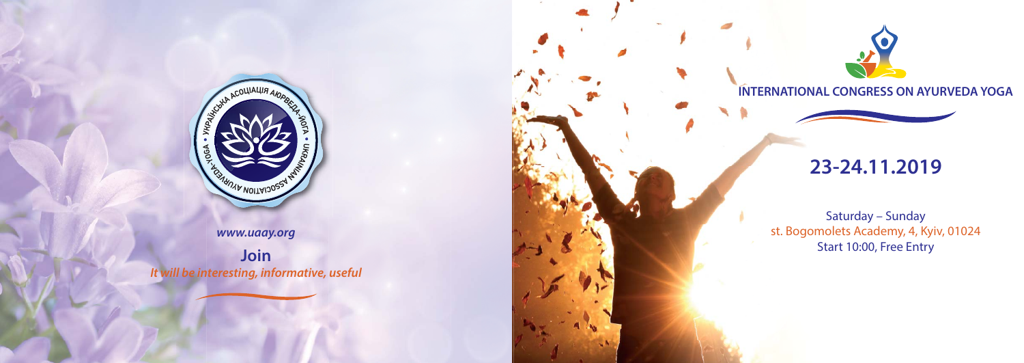

#### **www.uaay.org**

**Join It will be interesting, informative, useful**





### **INTERNATIONAL CONGRESS ON AYURVEDA YOGA**



# **23-24.11.2019**

## Saturday – Sunday st. Bogomolets Academy, 4, Kyiv, 01024 Start 10:00, Free Entry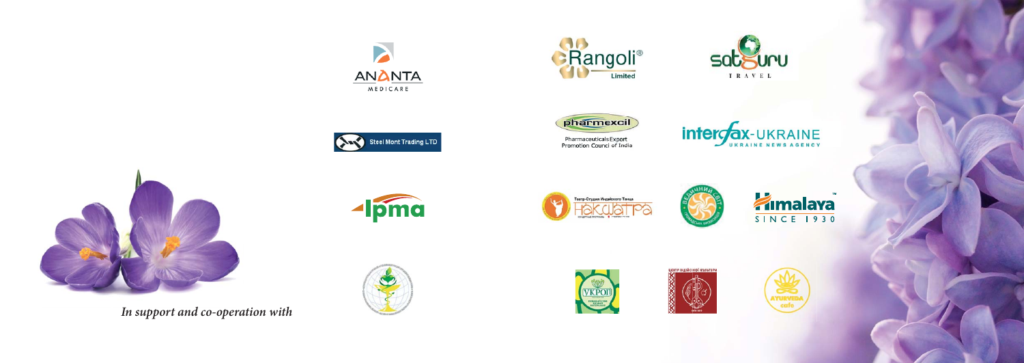







Pharmaceuticals Export<br>Promotion Council of India





**In support and co-operation with**



Steel Mont Trading LTD















# **Zimalaya**

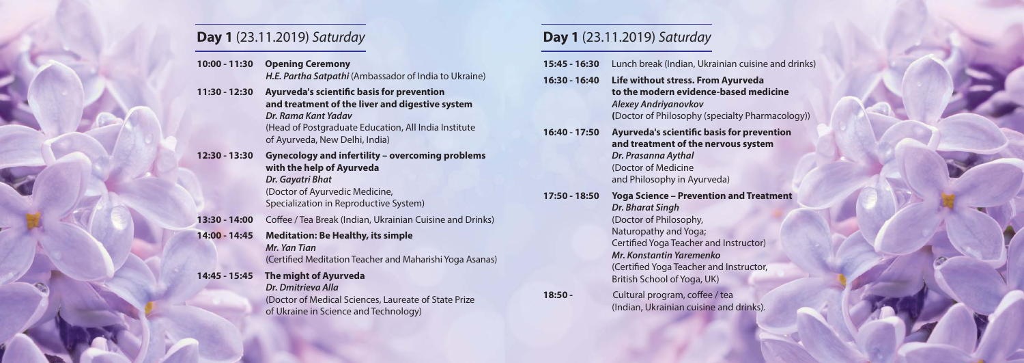## **Day 1** (23.11.2019) Saturday

| 10:00 - 11:30 | <b>Opening Ceremony</b>                               |
|---------------|-------------------------------------------------------|
|               | H.E. Partha Satpathi (Ambassador of India to Ukraine) |

**11:30 - 12:30 Ayurveda's scientific basis for prevention and treatment of the liver and digestive system Dr. Rama Kant Yadav** (Head of Postgraduate Education, All India Institute of Ayurveda, New Delhi, India)

- **12:30 13:30 Gynecology and infertility overcoming problems with the help of Ayurveda Dr. Gayatri Bhat**  (Doctor of Ayurvedic Medicine, Specialization in Reproductive System)
- **13:30 14:00** Coffee / Tea Break (Indian, Ukrainian Cuisine and Drinks)
- **14:00 14:45 Meditation: Be Healthy, its simple Mr. Yan Tian**(Certified Meditation Teacher and Maharishi Yoga Asanas)
- **14:45 15:45 The might of Ayurveda Dr. Dmitrieva Alla** (Doctor of Medical Sciences, Laureate of State Prize of Ukraine in Science and Technology)

# **Day 1** (23.11.2019) Saturday

| 15:45 - 16:30 | Lunch break (Indian, Ukrainian cuisine and d                                                                                                                                                                                                                                 |
|---------------|------------------------------------------------------------------------------------------------------------------------------------------------------------------------------------------------------------------------------------------------------------------------------|
|               |                                                                                                                                                                                                                                                                              |
| 16:30 - 16:40 | Life without stress. From Ayurveda<br>to the modern evidence-based medicine<br><b>Alexey Andriyanovkov</b><br>(Doctor of Philosophy (specialty Pharmacolo                                                                                                                    |
| 16:40 - 17:50 | <b>Ayurveda's scientific basis for prevention</b><br>and treatment of the nervous system<br>Dr. Prasanna Aythal<br>(Doctor of Medicine<br>and Philosophy in Ayurveda)                                                                                                        |
| 17:50 - 18:50 | <b>Yoga Science - Prevention and Treatment</b><br><b>Dr. Bharat Singh</b><br>(Doctor of Philosophy,<br>Naturopathy and Yoga;<br>Certified Yoga Teacher and Instructor)<br>Mr. Konstantin Yaremenko<br>(Certified Yoga Teacher and Instructor,<br>British School of Yoga, UK) |
| 18:50 -       | Cultural program, coffee / tea<br>(Indian, Ukrainian cuisine and drinks).                                                                                                                                                                                                    |

 $153$  and drinks)

acology))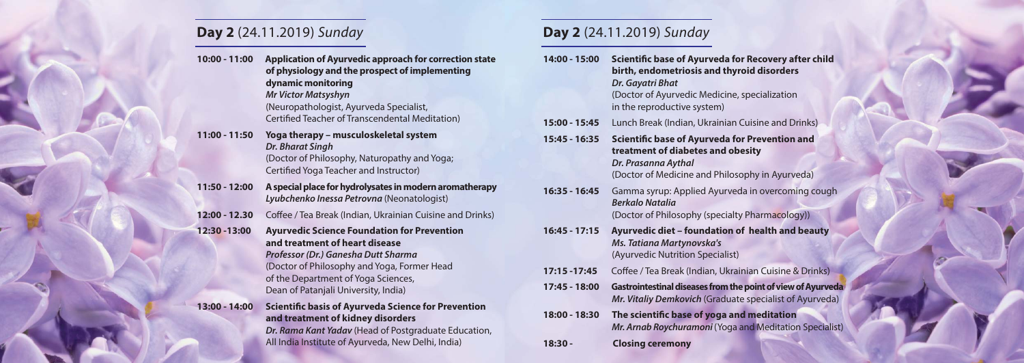## **Day 2** (24.11.2019) Sunday

#### **10:00 - 11:00 Application of Ayurvedic approach for correction state of physiology and the prospect of implementing dynamic monitoring Mr Victor Matsyshyn**  (Neuropathologist, Ayurveda Specialist, Certified Teacher of Transcendental Meditation) **11:00 - 11:50 Yoga therapy – musculoskeletal system Dr. Bharat Singh**  (Doctor of Philosophy, Naturopathy and Yoga; Certified Yoga Teacher and Instructor) **11:50 - 12:00 A special place for hydrolysates in modern aromatherapy Lyubchenko Inessa Petrovna** (Neonatologist) **12:00 - 12.30** Coffee / Tea Break (Indian, Ukrainian Cuisine and Drinks) **12:30 -13:00 Ayurvedic Science Foundation for Prevention and treatment of heart disease Professor (Dr.) Ganesha Dutt Sharma**  (Doctor of Philosophy and Yoga, Former Head of the Department of Yoga Sciences, Dean of Patanjali University, India) **13:00 - 14:00 Scientific basis of Ayurveda Science for Prevention and treatment of kidney disorders Dr. Rama Kant Yadav** (Head of Postgraduate Education, All India Institute of Ayurveda, New Delhi, India) **14:00 - 15:00 Scientific base of Ayurveda for Recovery after child birth, endometriosis and thyroid disorders Dr. Gayatri Bhat**  (Doctor of Ayurvedic Medicine, specialization in the reproductive system) **15:00 - 15:45** Lunch Break (Indian, Ukrainian Cuisine and Drinks) **15:45 - 16:35 Scientific base of Ayurveda for Prevention and treatment of diabetes and obesity Dr. Prasanna Aythal**  (Doctor of Medicine and Philosophy in Ayurveda) **16:35 - 16:45** Gamma syrup: Applied Ayurveda in overcoming cough **Berkalo Natalia** (Doctor of Philosophy (specialty Pharmacology)) **16:45 - 17:15 Ayurvedic diet – foundation of health and beauty Ms. Tatiana Martynovska's**  (Ayurvedic Nutrition Specialist) **17:15 -17:45** Coffee / Tea Break (Indian, Ukrainian Cuisine & Drinks) **17:45 - 18:00 Gastrointestinal diseases from the point of view of Ayurveda Mr. Vitaliy Demkovich** (Graduate specialist of Ayurveda) **18:00 - 18:30 The scientific base of yoga and meditation Mr. Arnab Roychuramoni** (Yoga and Meditation Specialist) **18:30 - Closing ceremony**

**Day 2** (24.11.2019) Sunday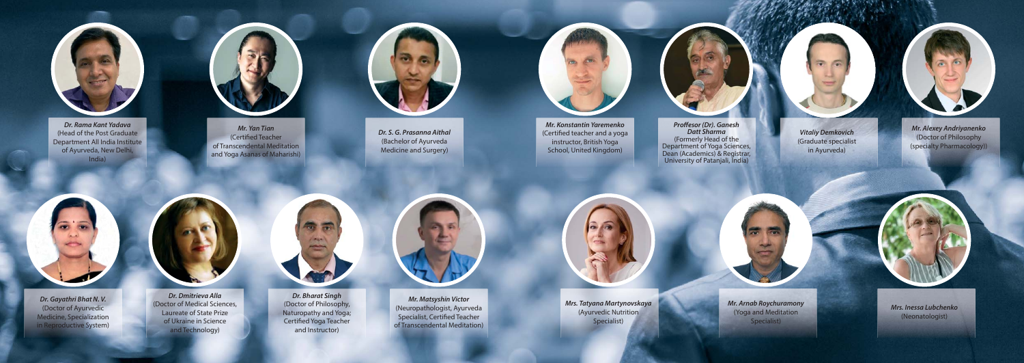

**Dr. Rama Kant Yadava** (Head of the Post Graduate Department All India Institute of Ayurveda, New Delhi, India)



**Mr. Yan Tian**(Certified Teacher of Transcendental Meditation and Yoga Asanas of Maharishi)



**Dr. S. G. Prasanna Aithal** (Bachelor of Ayurveda Medicine and Surgery)

**Mr. Arnab Roychuramony**  (Yoga and Meditation Specialist)



**Dr. Gayathri Bhat N. V.** (Doctor of Ayurvedic Medicine, Specialization in Reproductive System)





**Dr. Dmitrieva Alla**  (Doctor of Medical Sciences, Laureate of State Prize of Ukraine in Science and Technology)



**Dr. Bharat Singh** (Doctor of Philosophy, Naturopathy and Yoga; Certified Yoga Teacher and Instructor)



**Vitaliy Demkovich**  (Graduate specialist in Ayurveda)

> **Mrs. Inessa Lubchenko** (Neonatologist)

**Mr. Alexey Andriyanenko**  (Doctor of Philosophy (specialty Pharmacology))



**Mr. Konstantin Yaremenko**  (Certified teacher and a yoga instructor, British Yoga School, United Kingdom)

**Proffesor (Dr). Ganesh Datt Sharma**  (Formerly Head of the Department of Yoga Sciences, Dean (Academics) & Registrar, University of Patanjali, India)



**Mr. Matsyshin Victor**  (Neuropathologist, Ayurveda Specialist, Certified Teacher of Transcendental Meditation)

**Mrs. Tatyana Martynovskaya**  (Ayurvedic Nutrition Specialist)